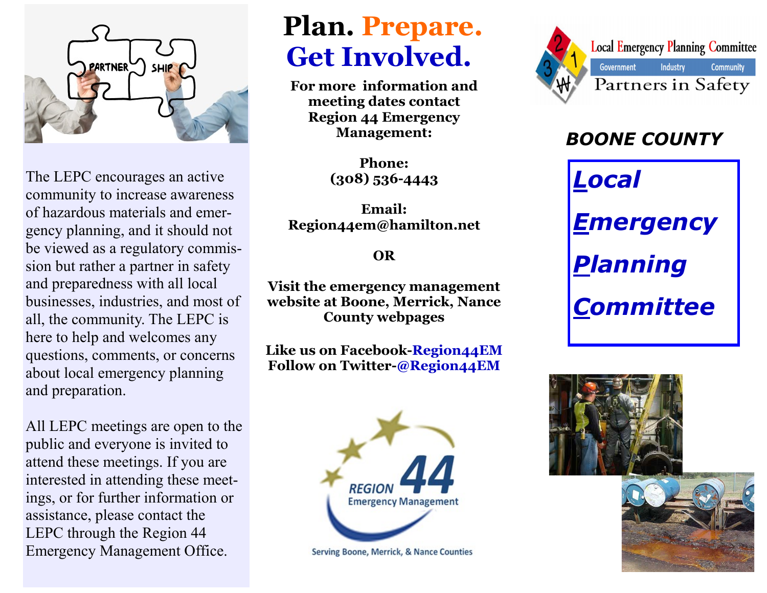

The LEPC encourages an active community to increase awareness of hazardous materials and emergency planning, and it should not be viewed as a regulatory commission but rather a partner in safety and preparedness with all local businesses, industries, and most of all, the community. The LEPC is here to help and welcomes any questions, comments, or concerns about local emergency planning and preparation.

All LEPC meetings are open to the public and everyone is invited to attend these meetings. If you are interested in attending these meetings, or for further information or assistance, please contact the LEPC through the Region 44 Emergency Management Office.

## **Plan. Prepare. Get Involved.**

**For more information and meeting dates contact Region 44 Emergency Management:**

> **Phone: (308) 536-4443**

**Email: Region44em@hamilton.net**

**OR**

**Visit the emergency management website at Boone, Merrick, Nance County webpages**

**Like us on Facebook-Region44EM Follow on Twitter-@Region44EM**



Serving Boone, Merrick, & Nance Counties



## *BOONE COUNTY*

*Local*

*Emergency* 

*Planning* 

*Committee*